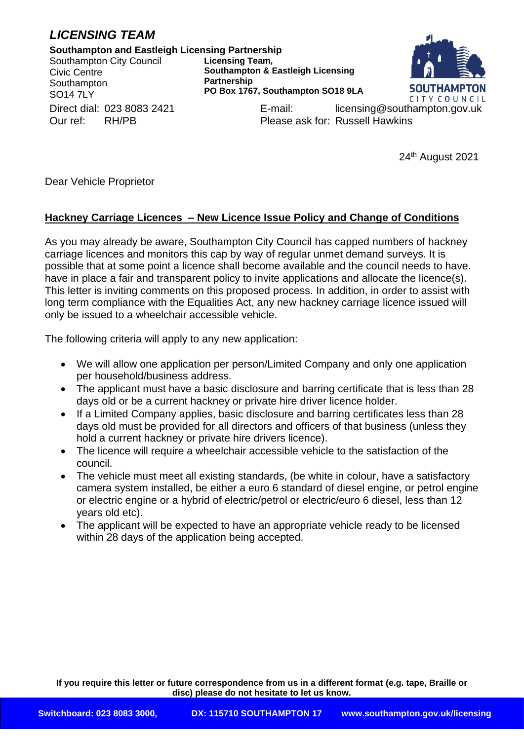## *LICENSING TEAM*

## **Southampton and Eastleigh Licensing Partnership**

Southampton City Council Civic Centre **Southampton** SO14 7LY

**Licensing Team, Southampton & Eastleigh Licensing Partnership PO Box 1767, Southampton SO18 9LA**



Direct dial: 023 8083 2421 **E-mail:** licensing@southampton.gov.uk Our ref: RH/PB Please ask for: Russell Hawkins

24th August 2021

Dear Vehicle Proprietor

## **Hackney Carriage Licences – New Licence Issue Policy and Change of Conditions**

As you may already be aware, Southampton City Council has capped numbers of hackney carriage licences and monitors this cap by way of regular unmet demand surveys. It is possible that at some point a licence shall become available and the council needs to have. have in place a fair and transparent policy to invite applications and allocate the licence(s). This letter is inviting comments on this proposed process. In addition, in order to assist with long term compliance with the Equalities Act, any new hackney carriage licence issued will only be issued to a wheelchair accessible vehicle.

The following criteria will apply to any new application:

- We will allow one application per person/Limited Company and only one application per household/business address.
- The applicant must have a basic disclosure and barring certificate that is less than 28 days old or be a current hackney or private hire driver licence holder.
- If a Limited Company applies, basic disclosure and barring certificates less than 28 days old must be provided for all directors and officers of that business (unless they hold a current hackney or private hire drivers licence).
- The licence will require a wheelchair accessible vehicle to the satisfaction of the council.
- The vehicle must meet all existing standards, (be white in colour, have a satisfactory camera system installed, be either a euro 6 standard of diesel engine, or petrol engine or electric engine or a hybrid of electric/petrol or electric/euro 6 diesel, less than 12 years old etc).
- The applicant will be expected to have an appropriate vehicle ready to be licensed within 28 days of the application being accepted.

**If you require this letter or future correspondence from us in a different format (e.g. tape, Braille or disc) please do not hesitate to let us know.**